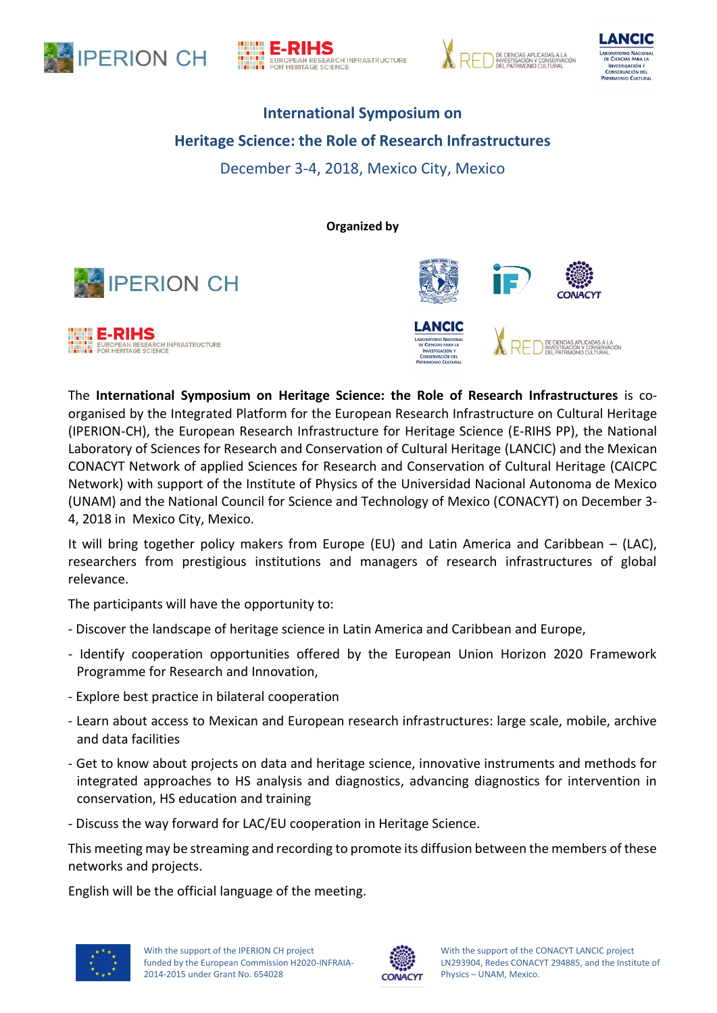







# **International Symposium on Heritage Science: the Role of Research Infrastructures** December 3-4, 2018, Mexico City, Mexico

**Organized by**







The **International Symposium on Heritage Science: the Role of Research Infrastructures** is coorganised by the Integrated Platform for the European Research Infrastructure on Cultural Heritage (IPERION-CH), the European Research Infrastructure for Heritage Science (E-RIHS PP), the National Laboratory of Sciences for Research and Conservation of Cultural Heritage (LANCIC) and the Mexican CONACYT Network of applied Sciences for Research and Conservation of Cultural Heritage (CAICPC Network) with support of the Institute of Physics of the Universidad Nacional Autonoma de Mexico (UNAM) and the National Council for Science and Technology of Mexico (CONACYT) on December 3- 4, 2018 in Mexico City, Mexico.

It will bring together policy makers from Europe (EU) and Latin America and Caribbean – (LAC), researchers from prestigious institutions and managers of research infrastructures of global relevance.

The participants will have the opportunity to:

- Discover the landscape of heritage science in Latin America and Caribbean and Europe,
- Identify cooperation opportunities offered by the European Union Horizon 2020 Framework Programme for Research and Innovation,
- Explore best practice in bilateral cooperation
- Learn about access to Mexican and European research infrastructures: large scale, mobile, archive and data facilities
- Get to know about projects on data and heritage science, innovative instruments and methods for integrated approaches to HS analysis and diagnostics, advancing diagnostics for intervention in conservation, HS education and training
- Discuss the way forward for LAC/EU cooperation in Heritage Science.

This meeting may be streaming and recording to promote its diffusion between the members of these networks and projects.

English will be the official language of the meeting.



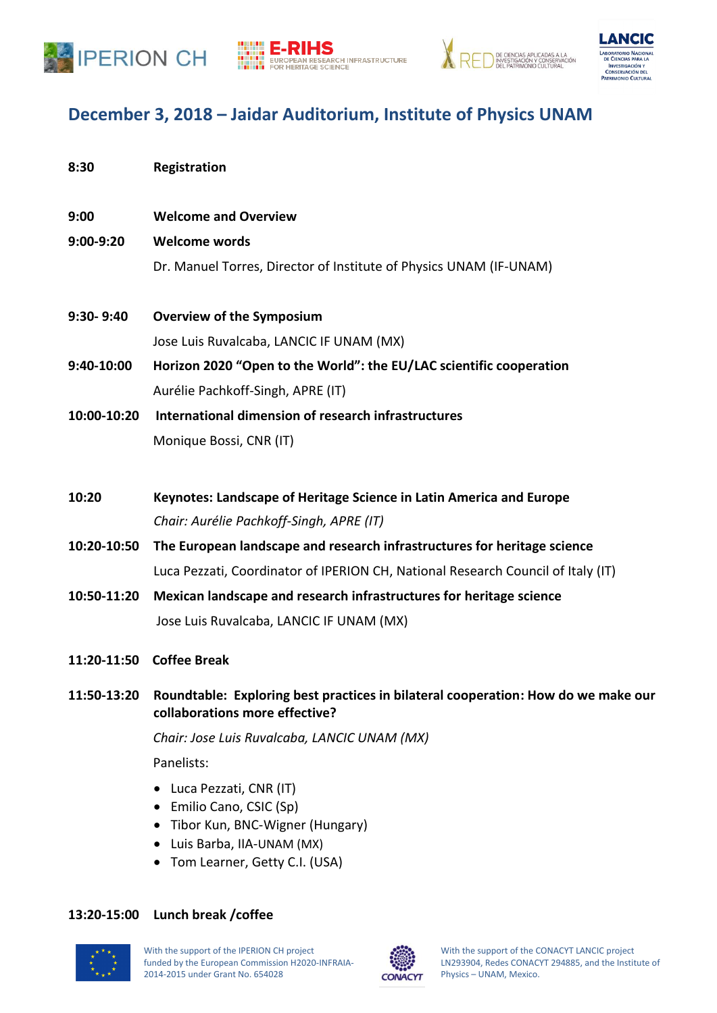







# **December 3, 2018 – Jaidar Auditorium, Institute of Physics UNAM**

| 8:30        | Registration                                                                     |
|-------------|----------------------------------------------------------------------------------|
| 9:00        | <b>Welcome and Overview</b>                                                      |
| 9:00-9:20   | <b>Welcome words</b>                                                             |
|             | Dr. Manuel Torres, Director of Institute of Physics UNAM (IF-UNAM)               |
| 9:30-9:40   | <b>Overview of the Symposium</b>                                                 |
|             | Jose Luis Ruvalcaba, LANCIC IF UNAM (MX)                                         |
| 9:40-10:00  | Horizon 2020 "Open to the World": the EU/LAC scientific cooperation              |
|             | Aurélie Pachkoff-Singh, APRE (IT)                                                |
| 10:00-10:20 | International dimension of research infrastructures                              |
|             | Monique Bossi, CNR (IT)                                                          |
| 10:20       | Keynotes: Landscape of Heritage Science in Latin America and Europe              |
|             | Chair: Aurélie Pachkoff-Singh, APRE (IT)                                         |
| 10:20-10:50 | The European landscape and research infrastructures for heritage science         |
|             | Luca Pezzati, Coordinator of IPERION CH, National Research Council of Italy (IT) |
| 10:50-11:20 | Mexican landscape and research infrastructures for heritage science              |
|             | Jose Luis Ruvalcaba, LANCIC IF UNAM (MX)                                         |
| 11:20-11:50 | <b>Coffee Break</b>                                                              |

**11:50-13:20 Roundtable: Exploring best practices in bilateral cooperation: How do we make our collaborations more effective?**

*Chair: Jose Luis Ruvalcaba, LANCIC UNAM (MX)*

Panelists:

- Luca Pezzati, CNR (IT)
- Emilio Cano, CSIC (Sp)
- Tibor Kun, BNC-Wigner (Hungary)
- Luis Barba, IIA-UNAM (MX)
- Tom Learner, Getty C.I. (USA)

## **13:20-15:00 Lunch break /coffee**



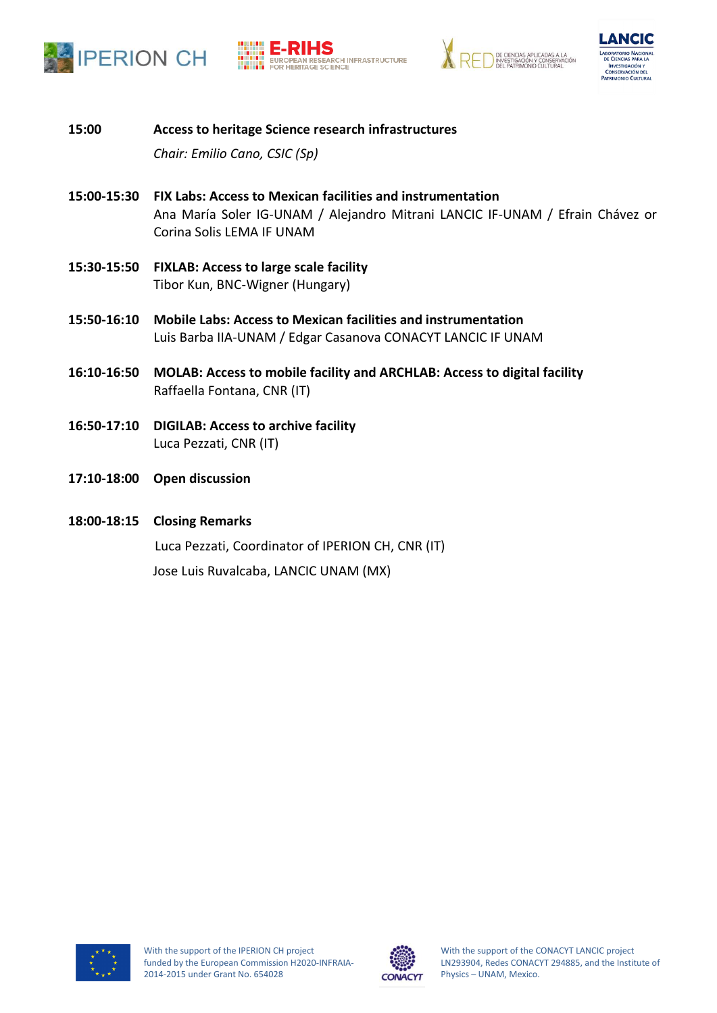







**15:00 Access to heritage Science research infrastructures**

*Chair: Emilio Cano, CSIC (Sp)*

- **15:00-15:30 FIX Labs: Access to Mexican facilities and instrumentation** Ana María Soler IG-UNAM / Alejandro Mitrani LANCIC IF-UNAM / Efrain Chávez or Corina Solis LEMA IF UNAM
- **15:30-15:50 FIXLAB: Access to large scale facility** Tibor Kun, BNC-Wigner (Hungary)
- **15:50-16:10 Mobile Labs: Access to Mexican facilities and instrumentation** Luis Barba IIA-UNAM / Edgar Casanova CONACYT LANCIC IF UNAM
- **16:10-16:50 MOLAB: Access to mobile facility and ARCHLAB: Access to digital facility** Raffaella Fontana, CNR (IT)
- **16:50-17:10 DIGILAB: Access to archive facility** Luca Pezzati, CNR (IT)
- **17:10-18:00 Open discussion**
- **18:00-18:15 Closing Remarks**

Luca Pezzati, Coordinator of IPERION CH, CNR (IT)

Jose Luis Ruvalcaba, LANCIC UNAM (MX)





With the support of the CONACYT LANCIC project LN293904, Redes CONACYT 294885, and the Institute of Physics – UNAM, Mexico.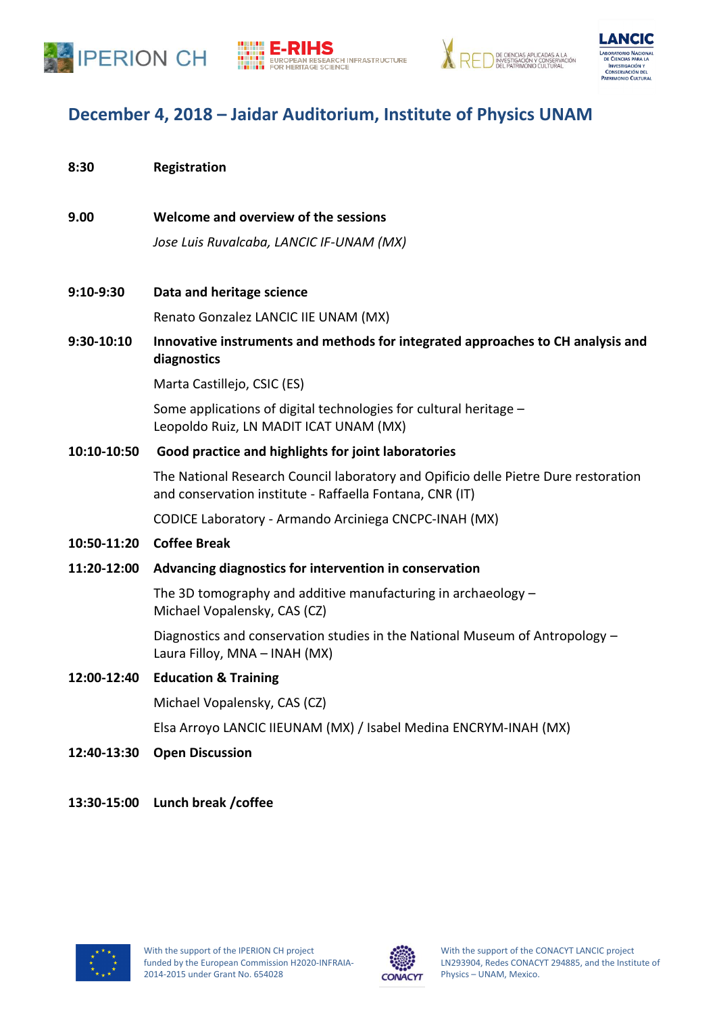







# **December 4, 2018 – Jaidar Auditorium, Institute of Physics UNAM**

- **8:30 Registration**
- **9.00 Welcome and overview of the sessions**

*Jose Luis Ruvalcaba, LANCIC IF-UNAM (MX)*

**9:10-9:30 Data and heritage science**

Renato Gonzalez LANCIC IIE UNAM (MX)

**9:30-10:10 Innovative instruments and methods for integrated approaches to CH analysis and diagnostics**

Marta Castillejo, CSIC (ES)

Some applications of digital technologies for cultural heritage – Leopoldo Ruiz, LN MADIT ICAT UNAM (MX)

### **10:10-10:50 Good practice and highlights for joint laboratories**

The National Research Council laboratory and Opificio delle Pietre Dure restoration and conservation institute - Raffaella Fontana, CNR (IT)

CODICE Laboratory - Armando Arciniega CNCPC-INAH (MX)

**10:50-11:20 Coffee Break**

#### **11:20-12:00 Advancing diagnostics for intervention in conservation**

The 3D tomography and additive manufacturing in archaeology – Michael Vopalensky, CAS (CZ)

Diagnostics and conservation studies in the National Museum of Antropology – Laura Filloy, MNA – INAH (MX)

#### **12:00-12:40 Education & Training**

Michael Vopalensky, CAS (CZ)

Elsa Arroyo LANCIC IIEUNAM (MX) / Isabel Medina ENCRYM-INAH (MX)

- **12:40-13:30 Open Discussion**
- **13:30-15:00 Lunch break /coffee**